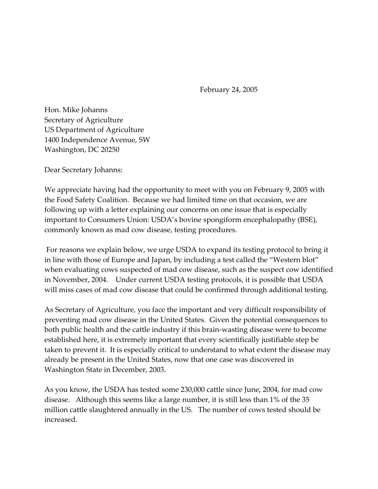February 24, 2005

Hon. Mike Johanns Secretary of Agriculture US Department of Agriculture 1400 Independence Avenue, SW Washington, DC 20250

Dear Secretary Johanns:

We appreciate having had the opportunity to meet with you on February 9, 2005 with the Food Safety Coalition. Because we had limited time on that occasion, we are following up with a letter explaining our concerns on one issue that is especially important to Consumers Union: USDA's bovine spongiform encephalopathy (BSE), commonly known as mad cow disease, testing procedures.

 For reasons we explain below, we urge USDA to expand its testing protocol to bring it in line with those of Europe and Japan, by including a test called the "Western blot" when evaluating cows suspected of mad cow disease, such as the suspect cow identified in November, 2004. Under current USDA testing protocols, it is possible that USDA will miss cases of mad cow disease that could be confirmed through additional testing.

As Secretary of Agriculture, you face the important and very difficult responsibility of preventing mad cow disease in the United States. Given the potential consequences to both public health and the cattle industry if this brain-wasting disease were to become established here, it is extremely important that every scientifically justifiable step be taken to prevent it. It is especially critical to understand to what extent the disease may already be present in the United States, now that one case was discovered in Washington State in December, 2003.

As you know, the USDA has tested some 230,000 cattle since June, 2004, for mad cow disease. Although this seems like a large number, it is still less than 1% of the 35 million cattle slaughtered annually in the US. The number of cows tested should be increased.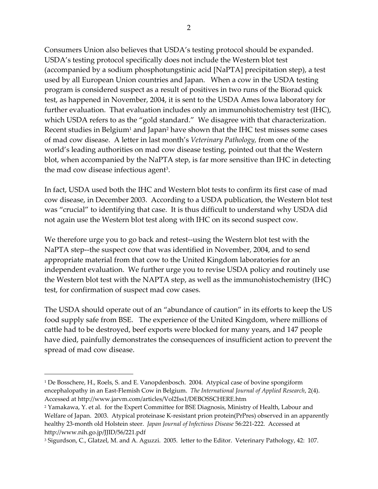Consumers Union also believes that USDA's testing protocol should be expanded. USDA's testing protocol specifically does not include the Western blot test (accompanied by a sodium phosphotungstinic acid [NaPTA] precipitation step), a test used by all European Union countries and Japan. When a cow in the USDA testing program is considered suspect as a result of positives in two runs of the Biorad quick test, as happened in November, 2004, it is sent to the USDA Ames Iowa laboratory for further evaluation. That evaluation includes only an immunohistochemistry test (IHC), which USDA refers to as the "gold standard." We disagree with that characterization. Recent studies in Belgium<sup>1</sup> and Japan<sup>2</sup> have shown that the IHC test misses some cases of mad cow disease. A letter in last month's *Veterinary Pathology,* from one of the world's leading authorities on mad cow disease testing, pointed out that the Western blot, when accompanied by the NaPTA step, is far more sensitive than IHC in detecting the mad cow disease infectious agent<sup>3</sup>.

In fact, USDA used both the IHC and Western blot tests to confirm its first case of mad cow disease, in December 2003. According to a USDA publication, the Western blot test was "crucial" to identifying that case. It is thus difficult to understand why USDA did not again use the Western blot test along with IHC on its second suspect cow.

We therefore urge you to go back and retest--using the Western blot test with the NaPTA step--the suspect cow that was identified in November, 2004, and to send appropriate material from that cow to the United Kingdom laboratories for an independent evaluation. We further urge you to revise USDA policy and routinely use the Western blot test with the NAPTA step, as well as the immunohistochemistry (IHC) test, for confirmation of suspect mad cow cases.

The USDA should operate out of an "abundance of caution" in its efforts to keep the US food supply safe from BSE. The experience of the United Kingdom, where millions of cattle had to be destroyed, beef exports were blocked for many years, and 147 people have died, painfully demonstrates the consequences of insufficient action to prevent the spread of mad cow disease.

 $\overline{a}$ 

<sup>1</sup> De Bosschere, H., Roels, S. and E. Vanopdenbosch. 2004. Atypical case of bovine spongiform encephalopathy in an East-Flemish Cow in Belgium. *The International Journal of Applied Research*, 2(4). Accessed at http://www.jarvm.com/articles/Vol2Iss1/DEBOSSCHERE.htm

<sup>&</sup>lt;sup>2</sup> Yamakawa, Y. et al. for the Expert Committee for BSE Diagnosis, Ministry of Health, Labour and Welfare of Japan. 2003. Atypical proteinase K-resistant prion protein(PrPres) observed in an apparently healthy 23-month old Holstein steer. *Japan Journal of Infectious Disease* 56:221-222. Accessed at http://www.nih.go.jp/JJID/56/221.pdf

<sup>3</sup> Sigurdson, C., Glatzel, M. and A. Aguzzi. 2005. letter to the Editor. Veterinary Pathology, 42: 107.